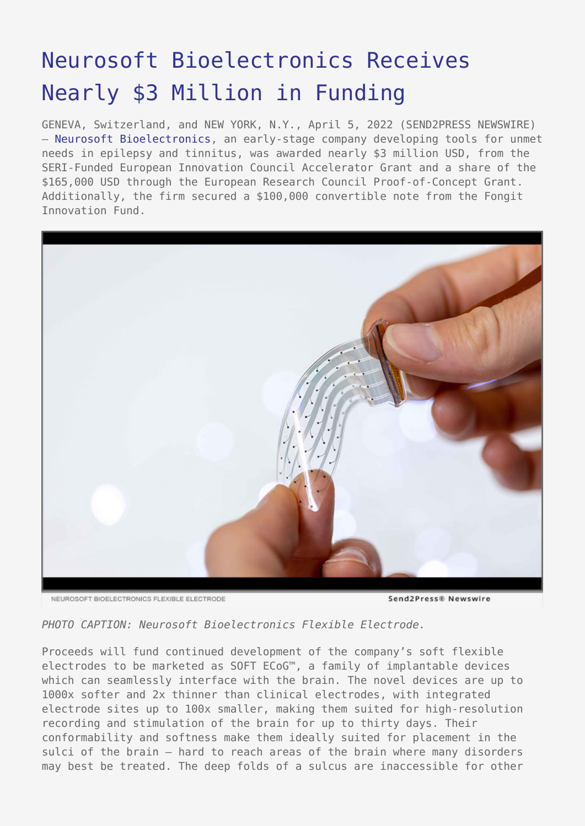## [Neurosoft Bioelectronics Receives](https://www.send2press.com/wire/neurosoft-bioelectronics-receives-nearly-3-million-in-funding/) [Nearly \\$3 Million in Funding](https://www.send2press.com/wire/neurosoft-bioelectronics-receives-nearly-3-million-in-funding/)

GENEVA, Switzerland, and NEW YORK, N.Y., April 5, 2022 (SEND2PRESS NEWSWIRE) — [Neurosoft Bioelectronics,](http://www.neurosoft-bio.com/) an early-stage company developing tools for unmet needs in epilepsy and tinnitus, was awarded nearly \$3 million USD, from the SERI-Funded European Innovation Council Accelerator Grant and a share of the \$165,000 USD through the European Research Council Proof-of-Concept Grant. Additionally, the firm secured a \$100,000 convertible note from the Fongit Innovation Fund.



NEUROSOET BIOELECTRONICS ELEXIBLE ELECTRODE

```
Send 2 Press® Newswire
```
*PHOTO CAPTION: Neurosoft Bioelectronics Flexible Electrode.*

Proceeds will fund continued development of the company's soft flexible electrodes to be marketed as SOFT ECoG™, a family of implantable devices which can seamlessly interface with the brain. The novel devices are up to 1000x softer and 2x thinner than clinical electrodes, with integrated electrode sites up to 100x smaller, making them suited for high-resolution recording and stimulation of the brain for up to thirty days. Their conformability and softness make them ideally suited for placement in the sulci of the brain – hard to reach areas of the brain where many disorders may best be treated. The deep folds of a sulcus are inaccessible for other